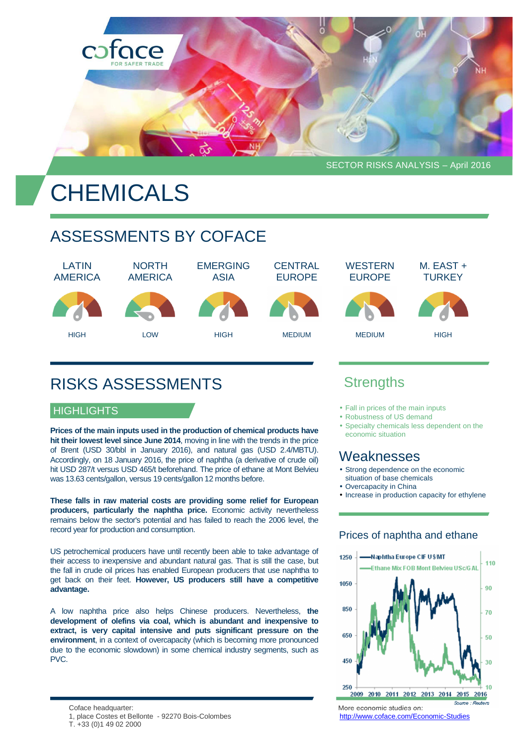

# **CHEMICALS**

# ASSESSMENTS BY COFACE

LATIN AMERICA NORTH AMERICA EMERGING ASIA **CENTRAL** EUROPE **WESTERN** EUROPE M. EAST + **TURKEY** HIGH LOW HIGH MEDIUM MEDIUM HIGH

# RISKS ASSESSMENTS

#### **HIGHLIGHTS**

**Prices of the main inputs used in the production of chemical products have hit their lowest level since June 2014**, moving in line with the trends in the price of Brent (USD 30/bbl in January 2016), and natural gas (USD 2.4/MBTU). Accordingly, on 18 January 2016, the price of naphtha (a derivative of crude oil) hit USD 287/t versus USD 465/t beforehand. The price of ethane at Mont Belvieu was 13.63 cents/gallon, versus 19 cents/gallon 12 months before.

**These falls in raw material costs are providing some relief for European producers, particularly the naphtha price.** Economic activity nevertheless remains below the sector's potential and has failed to reach the 2006 level, the record year for production and consumption.

US petrochemical producers have until recently been able to take advantage of their access to inexpensive and abundant natural gas. That is still the case, but the fall in crude oil prices has enabled European producers that use naphtha to get back on their feet. **However, US producers still have a competitive advantage.**

A low naphtha price also helps Chinese producers. Nevertheless, **the development of olefins via coal, which is abundant and inexpensive to extract, is very capital intensive and puts significant pressure on the environment**, in a context of overcapacity (which is becoming more pronounced due to the economic slowdown) in some chemical industry segments, such as PVC.

- 1, place Costes et Bellonte 92270 Bois-Colombes http://www.coface.com/Economic-Studies
- T. +33 (0)1 49 02 2000

## **Strengths**

- Fall in prices of the main inputs
- Robustness of US demand
- Specialty chemicals less dependent on the economic situation

### Weaknesses

- Strong dependence on the economic situation of base chemicals
- Overcapacity in China
- Increase in production capacity for ethylene

#### Prices of naphtha and ethane



Coface headquarter: More economic studies on: More economic studies on: